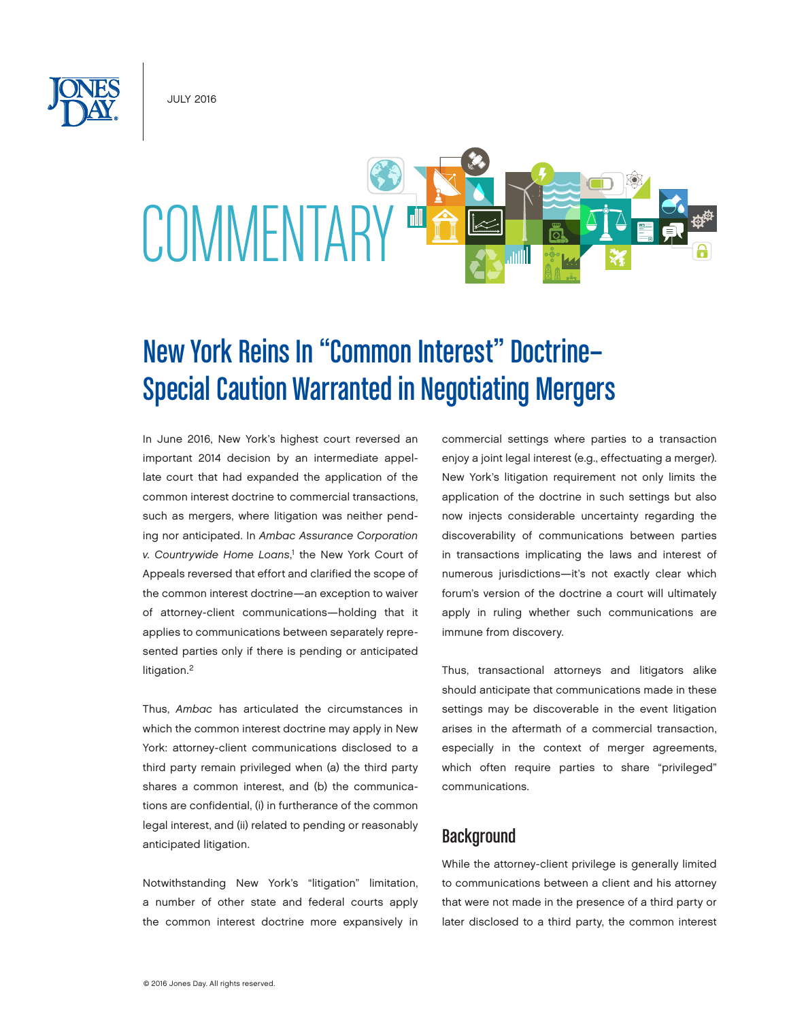July 2016



# New York Reins In "Common Interest" Doctrine— Special Caution Warranted in Negotiating Mergers

In June 2016, New York's highest court reversed an important 2014 decision by an intermediate appellate court that had expanded the application of the common interest doctrine to commercial transactions, such as mergers, where litigation was neither pending nor anticipated. In *Ambac Assurance Corporation v. Countrywide Home Loans*, 1 the New York Court of Appeals reversed that effort and clarified the scope of the common interest doctrine—an exception to waiver of attorney-client communications—holding that it applies to communications between separately represented parties only if there is pending or anticipated litigation.<sup>2</sup>

Thus, *Ambac* has articulated the circumstances in which the common interest doctrine may apply in New York: attorney-client communications disclosed to a third party remain privileged when (a) the third party shares a common interest, and (b) the communications are confidential, (i) in furtherance of the common legal interest, and (ii) related to pending or reasonably anticipated litigation.

Notwithstanding New York's "litigation" limitation, a number of other state and federal courts apply the common interest doctrine more expansively in

commercial settings where parties to a transaction enjoy a joint legal interest (e.g., effectuating a merger). New York's litigation requirement not only limits the application of the doctrine in such settings but also now injects considerable uncertainty regarding the discoverability of communications between parties in transactions implicating the laws and interest of numerous jurisdictions—it's not exactly clear which forum's version of the doctrine a court will ultimately apply in ruling whether such communications are immune from discovery.

Thus, transactional attorneys and litigators alike should anticipate that communications made in these settings may be discoverable in the event litigation arises in the aftermath of a commercial transaction, especially in the context of merger agreements, which often require parties to share "privileged" communications.

# **Background**

While the attorney-client privilege is generally limited to communications between a client and his attorney that were not made in the presence of a third party or later disclosed to a third party, the common interest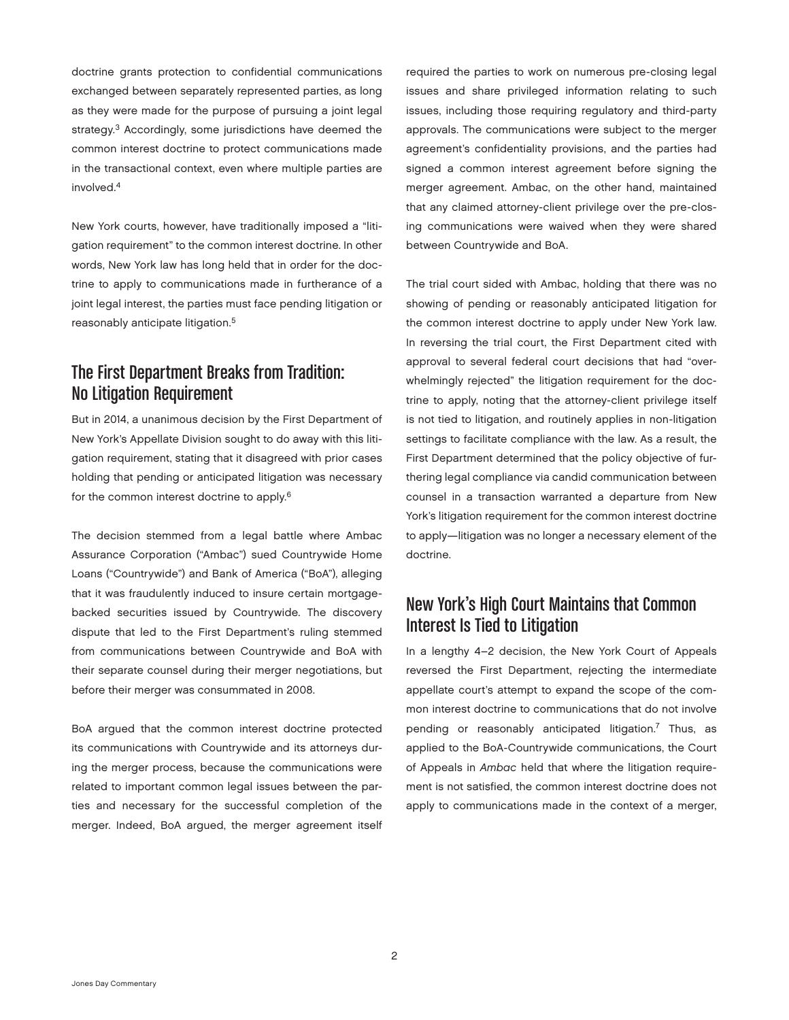doctrine grants protection to confidential communications exchanged between separately represented parties, as long as they were made for the purpose of pursuing a joint legal strategy.<sup>3</sup> Accordingly, some jurisdictions have deemed the common interest doctrine to protect communications made in the transactional context, even where multiple parties are involved.4

New York courts, however, have traditionally imposed a "litigation requirement" to the common interest doctrine. In other words, New York law has long held that in order for the doctrine to apply to communications made in furtherance of a joint legal interest, the parties must face pending litigation or reasonably anticipate litigation.<sup>5</sup>

# The First Department Breaks from Tradition: No Litigation Requirement

But in 2014, a unanimous decision by the First Department of New York's Appellate Division sought to do away with this litigation requirement, stating that it disagreed with prior cases holding that pending or anticipated litigation was necessary for the common interest doctrine to apply.<sup>6</sup>

The decision stemmed from a legal battle where Ambac Assurance Corporation ("Ambac") sued Countrywide Home Loans ("Countrywide") and Bank of America ("BoA"), alleging that it was fraudulently induced to insure certain mortgagebacked securities issued by Countrywide. The discovery dispute that led to the First Department's ruling stemmed from communications between Countrywide and BoA with their separate counsel during their merger negotiations, but before their merger was consummated in 2008.

BoA argued that the common interest doctrine protected its communications with Countrywide and its attorneys during the merger process, because the communications were related to important common legal issues between the parties and necessary for the successful completion of the merger. Indeed, BoA argued, the merger agreement itself required the parties to work on numerous pre-closing legal issues and share privileged information relating to such issues, including those requiring regulatory and third-party approvals. The communications were subject to the merger agreement's confidentiality provisions, and the parties had signed a common interest agreement before signing the merger agreement. Ambac, on the other hand, maintained that any claimed attorney-client privilege over the pre-closing communications were waived when they were shared between Countrywide and BoA.

The trial court sided with Ambac, holding that there was no showing of pending or reasonably anticipated litigation for the common interest doctrine to apply under New York law. In reversing the trial court, the First Department cited with approval to several federal court decisions that had "overwhelmingly rejected" the litigation requirement for the doctrine to apply, noting that the attorney-client privilege itself is not tied to litigation, and routinely applies in non-litigation settings to facilitate compliance with the law. As a result, the First Department determined that the policy objective of furthering legal compliance via candid communication between counsel in a transaction warranted a departure from New York's litigation requirement for the common interest doctrine to apply—litigation was no longer a necessary element of the doctrine.

# New York's High Court Maintains that Common Interest Is Tied to Litigation

In a lengthy 4–2 decision, the New York Court of Appeals reversed the First Department, rejecting the intermediate appellate court's attempt to expand the scope of the common interest doctrine to communications that do not involve pending or reasonably anticipated litigation.<sup>7</sup> Thus, as applied to the BoA-Countrywide communications, the Court of Appeals in *Ambac* held that where the litigation requirement is not satisfied, the common interest doctrine does not apply to communications made in the context of a merger,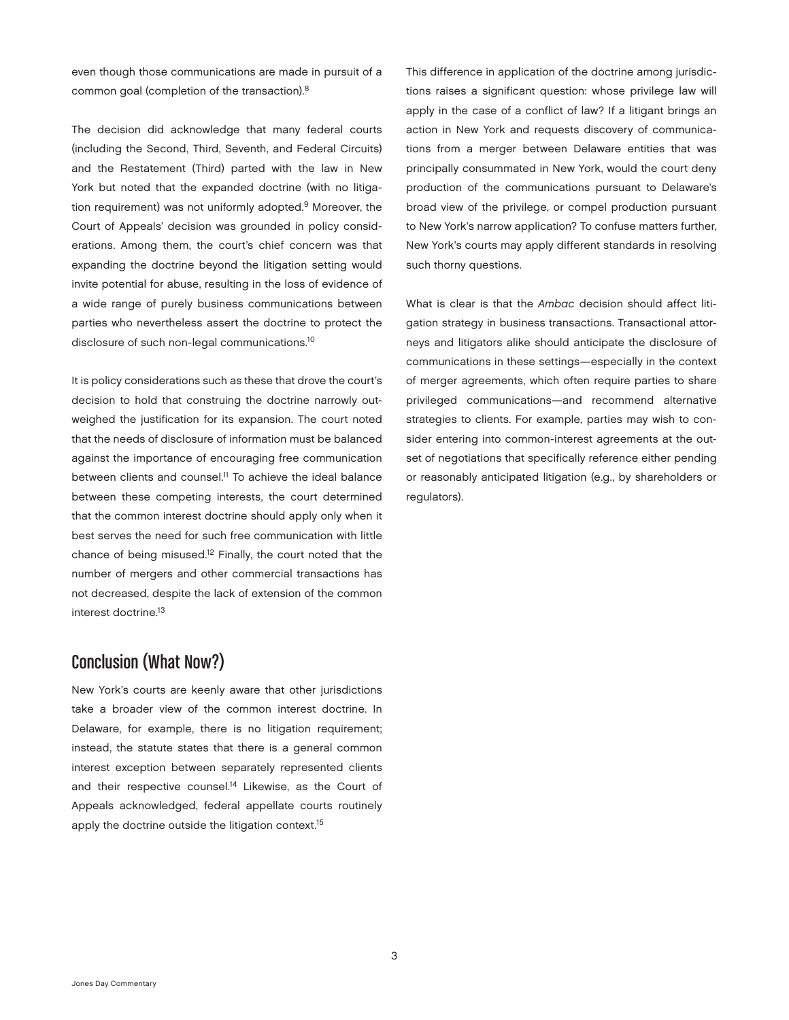even though those communications are made in pursuit of a common goal (completion of the transaction).8

The decision did acknowledge that many federal courts (including the Second, Third, Seventh, and Federal Circuits) and the Restatement (Third) parted with the law in New York but noted that the expanded doctrine (with no litigation requirement) was not uniformly adopted.<sup>9</sup> Moreover, the Court of Appeals' decision was grounded in policy considerations. Among them, the court's chief concern was that expanding the doctrine beyond the litigation setting would invite potential for abuse, resulting in the loss of evidence of a wide range of purely business communications between parties who nevertheless assert the doctrine to protect the disclosure of such non-legal communications.<sup>10</sup>

It is policy considerations such as these that drove the court's decision to hold that construing the doctrine narrowly outweighed the justification for its expansion. The court noted that the needs of disclosure of information must be balanced against the importance of encouraging free communication between clients and counsel.<sup>11</sup> To achieve the ideal balance between these competing interests, the court determined that the common interest doctrine should apply only when it best serves the need for such free communication with little chance of being misused.12 Finally, the court noted that the number of mergers and other commercial transactions has not decreased, despite the lack of extension of the common interest doctrine.13

# Conclusion (What Now?)

New York's courts are keenly aware that other jurisdictions take a broader view of the common interest doctrine. In Delaware, for example, there is no litigation requirement; instead, the statute states that there is a general common interest exception between separately represented clients and their respective counsel.<sup>14</sup> Likewise, as the Court of Appeals acknowledged, federal appellate courts routinely apply the doctrine outside the litigation context.<sup>15</sup>

This difference in application of the doctrine among jurisdictions raises a significant question: whose privilege law will apply in the case of a conflict of law? If a litigant brings an action in New York and requests discovery of communications from a merger between Delaware entities that was principally consummated in New York, would the court deny production of the communications pursuant to Delaware's broad view of the privilege, or compel production pursuant to New York's narrow application? To confuse matters further, New York's courts may apply different standards in resolving such thorny questions.

What is clear is that the *Ambac* decision should affect litigation strategy in business transactions. Transactional attorneys and litigators alike should anticipate the disclosure of communications in these settings—especially in the context of merger agreements, which often require parties to share privileged communications—and recommend alternative strategies to clients. For example, parties may wish to consider entering into common-interest agreements at the outset of negotiations that specifically reference either pending or reasonably anticipated litigation (e.g., by shareholders or regulators).